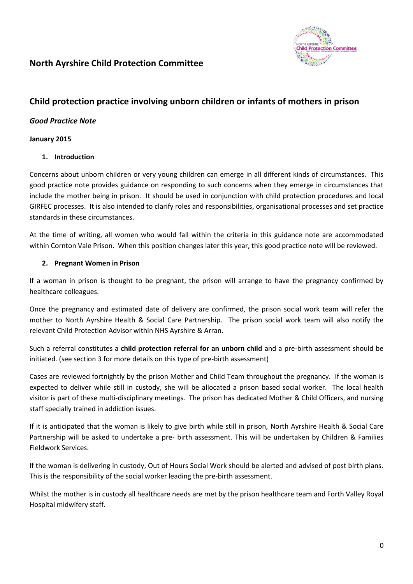

# **North Ayrshire Child Protection Committee**

# **Child protection practice involving unborn children or infants of mothers in prison**

# *Good Practice Note*

#### **January 2015**

## **1. Introduction**

Concerns about unborn children or very young children can emerge in all different kinds of circumstances. This good practice note provides guidance on responding to such concerns when they emerge in circumstances that include the mother being in prison. It should be used in conjunction with child protection procedures and local GIRFEC processes. It is also intended to clarify roles and responsibilities, organisational processes and set practice standards in these circumstances.

At the time of writing, all women who would fall within the criteria in this guidance note are accommodated within Cornton Vale Prison. When this position changes later this year, this good practice note will be reviewed.

#### **2. Pregnant Women in Prison**

If a woman in prison is thought to be pregnant, the prison will arrange to have the pregnancy confirmed by healthcare colleagues.

Once the pregnancy and estimated date of delivery are confirmed, the prison social work team will refer the mother to North Ayrshire Health & Social Care Partnership. The prison social work team will also notify the relevant Child Protection Advisor within NHS Ayrshire & Arran.

Such a referral constitutes a **child protection referral for an unborn child** and a pre-birth assessment should be initiated. (see section 3 for more details on this type of pre-birth assessment)

Cases are reviewed fortnightly by the prison Mother and Child Team throughout the pregnancy. If the woman is expected to deliver while still in custody, she will be allocated a prison based social worker. The local health visitor is part of these multi-disciplinary meetings. The prison has dedicated Mother & Child Officers, and nursing staff specially trained in addiction issues.

If it is anticipated that the woman is likely to give birth while still in prison, North Ayrshire Health & Social Care Partnership will be asked to undertake a pre- birth assessment. This will be undertaken by Children & Families Fieldwork Services.

If the woman is delivering in custody, Out of Hours Social Work should be alerted and advised of post birth plans. This is the responsibility of the social worker leading the pre-birth assessment.

Whilst the mother is in custody all healthcare needs are met by the prison healthcare team and Forth Valley Royal Hospital midwifery staff.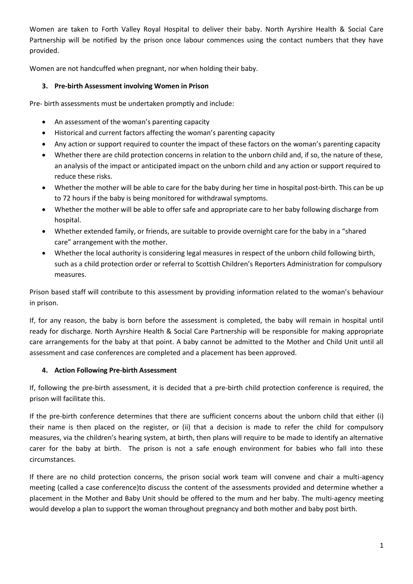Women are taken to Forth Valley Royal Hospital to deliver their baby. North Ayrshire Health & Social Care Partnership will be notified by the prison once labour commences using the contact numbers that they have provided.

Women are not handcuffed when pregnant, nor when holding their baby.

# **3. Pre-birth Assessment involving Women in Prison**

Pre- birth assessments must be undertaken promptly and include:

- An assessment of the woman's parenting capacity
- Historical and current factors affecting the woman's parenting capacity
- Any action or support required to counter the impact of these factors on the woman's parenting capacity
- Whether there are child protection concerns in relation to the unborn child and, if so, the nature of these, an analysis of the impact or anticipated impact on the unborn child and any action or support required to reduce these risks.
- Whether the mother will be able to care for the baby during her time in hospital post-birth. This can be up to 72 hours if the baby is being monitored for withdrawal symptoms.
- Whether the mother will be able to offer safe and appropriate care to her baby following discharge from hospital.
- Whether extended family, or friends, are suitable to provide overnight care for the baby in a "shared care" arrangement with the mother.
- Whether the local authority is considering legal measures in respect of the unborn child following birth, such as a child protection order or referral to Scottish Children's Reporters Administration for compulsory measures.

Prison based staff will contribute to this assessment by providing information related to the woman's behaviour in prison.

If, for any reason, the baby is born before the assessment is completed, the baby will remain in hospital until ready for discharge. North Ayrshire Health & Social Care Partnership will be responsible for making appropriate care arrangements for the baby at that point. A baby cannot be admitted to the Mother and Child Unit until all assessment and case conferences are completed and a placement has been approved.

## **4. Action Following Pre-birth Assessment**

If, following the pre-birth assessment, it is decided that a pre-birth child protection conference is required, the prison will facilitate this.

If the pre-birth conference determines that there are sufficient concerns about the unborn child that either (i) their name is then placed on the register, or (ii) that a decision is made to refer the child for compulsory measures, via the children's hearing system, at birth, then plans will require to be made to identify an alternative carer for the baby at birth. The prison is not a safe enough environment for babies who fall into these circumstances.

If there are no child protection concerns, the prison social work team will convene and chair a multi-agency meeting (called a case conference)to discuss the content of the assessments provided and determine whether a placement in the Mother and Baby Unit should be offered to the mum and her baby. The multi-agency meeting would develop a plan to support the woman throughout pregnancy and both mother and baby post birth.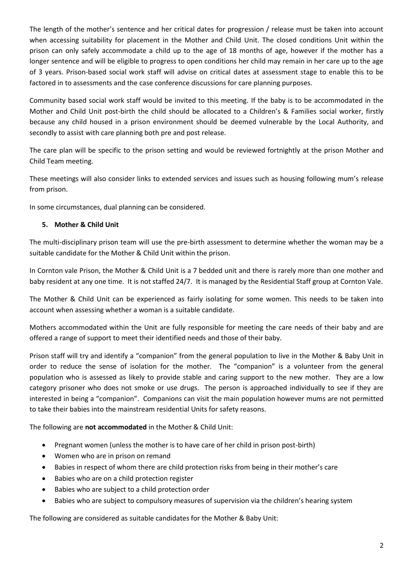The length of the mother's sentence and her critical dates for progression / release must be taken into account when accessing suitability for placement in the Mother and Child Unit. The closed conditions Unit within the prison can only safely accommodate a child up to the age of 18 months of age, however if the mother has a longer sentence and will be eligible to progress to open conditions her child may remain in her care up to the age of 3 years. Prison-based social work staff will advise on critical dates at assessment stage to enable this to be factored in to assessments and the case conference discussions for care planning purposes.

Community based social work staff would be invited to this meeting. If the baby is to be accommodated in the Mother and Child Unit post-birth the child should be allocated to a Children's & Families social worker, firstly because any child housed in a prison environment should be deemed vulnerable by the Local Authority, and secondly to assist with care planning both pre and post release.

The care plan will be specific to the prison setting and would be reviewed fortnightly at the prison Mother and Child Team meeting.

These meetings will also consider links to extended services and issues such as housing following mum's release from prison.

In some circumstances, dual planning can be considered.

#### **5. Mother & Child Unit**

The multi-disciplinary prison team will use the pre-birth assessment to determine whether the woman may be a suitable candidate for the Mother & Child Unit within the prison.

In Cornton vale Prison, the Mother & Child Unit is a 7 bedded unit and there is rarely more than one mother and baby resident at any one time. It is not staffed 24/7. It is managed by the Residential Staff group at Cornton Vale.

The Mother & Child Unit can be experienced as fairly isolating for some women. This needs to be taken into account when assessing whether a woman is a suitable candidate.

Mothers accommodated within the Unit are fully responsible for meeting the care needs of their baby and are offered a range of support to meet their identified needs and those of their baby.

Prison staff will try and identify a "companion" from the general population to live in the Mother & Baby Unit in order to reduce the sense of isolation for the mother. The "companion" is a volunteer from the general population who is assessed as likely to provide stable and caring support to the new mother. They are a low category prisoner who does not smoke or use drugs. The person is approached individually to see if they are interested in being a "companion". Companions can visit the main population however mums are not permitted to take their babies into the mainstream residential Units for safety reasons.

The following are **not accommodated** in the Mother & Child Unit:

- Pregnant women (unless the mother is to have care of her child in prison post-birth)
- Women who are in prison on remand
- Babies in respect of whom there are child protection risks from being in their mother's care
- Babies who are on a child protection register
- Babies who are subject to a child protection order
- Babies who are subject to compulsory measures of supervision via the children's hearing system

The following are considered as suitable candidates for the Mother & Baby Unit: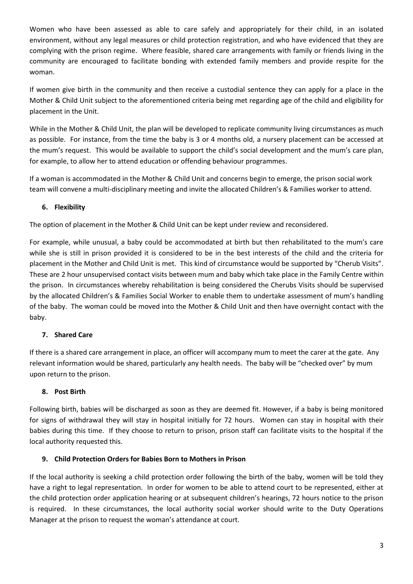Women who have been assessed as able to care safely and appropriately for their child, in an isolated environment, without any legal measures or child protection registration, and who have evidenced that they are complying with the prison regime. Where feasible, shared care arrangements with family or friends living in the community are encouraged to facilitate bonding with extended family members and provide respite for the woman.

If women give birth in the community and then receive a custodial sentence they can apply for a place in the Mother & Child Unit subject to the aforementioned criteria being met regarding age of the child and eligibility for placement in the Unit.

While in the Mother & Child Unit, the plan will be developed to replicate community living circumstances as much as possible. For instance, from the time the baby is 3 or 4 months old, a nursery placement can be accessed at the mum's request. This would be available to support the child's social development and the mum's care plan, for example, to allow her to attend education or offending behaviour programmes.

If a woman is accommodated in the Mother & Child Unit and concerns begin to emerge, the prison social work team will convene a multi-disciplinary meeting and invite the allocated Children's & Families worker to attend.

# **6. Flexibility**

The option of placement in the Mother & Child Unit can be kept under review and reconsidered.

For example, while unusual, a baby could be accommodated at birth but then rehabilitated to the mum's care while she is still in prison provided it is considered to be in the best interests of the child and the criteria for placement in the Mother and Child Unit is met. This kind of circumstance would be supported by "Cherub Visits". These are 2 hour unsupervised contact visits between mum and baby which take place in the Family Centre within the prison. In circumstances whereby rehabilitation is being considered the Cherubs Visits should be supervised by the allocated Children's & Families Social Worker to enable them to undertake assessment of mum's handling of the baby. The woman could be moved into the Mother & Child Unit and then have overnight contact with the baby.

# **7. Shared Care**

If there is a shared care arrangement in place, an officer will accompany mum to meet the carer at the gate. Any relevant information would be shared, particularly any health needs. The baby will be "checked over" by mum upon return to the prison.

## **8. Post Birth**

Following birth, babies will be discharged as soon as they are deemed fit. However, if a baby is being monitored for signs of withdrawal they will stay in hospital initially for 72 hours. Women can stay in hospital with their babies during this time. If they choose to return to prison, prison staff can facilitate visits to the hospital if the local authority requested this.

## **9. Child Protection Orders for Babies Born to Mothers in Prison**

If the local authority is seeking a child protection order following the birth of the baby, women will be told they have a right to legal representation. In order for women to be able to attend court to be represented, either at the child protection order application hearing or at subsequent children's hearings, 72 hours notice to the prison is required. In these circumstances, the local authority social worker should write to the Duty Operations Manager at the prison to request the woman's attendance at court.